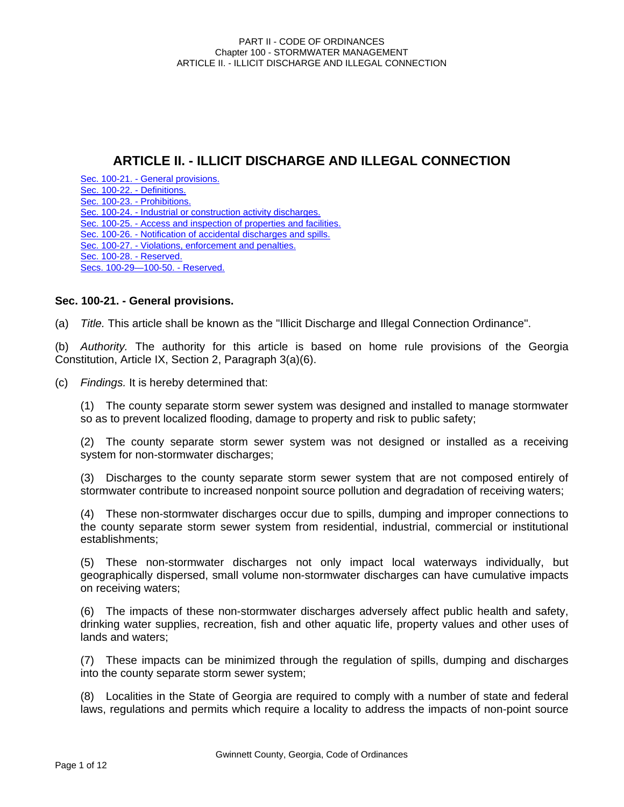# **ARTICLE II. - ILLICIT DISCHARGE AND ILLEGAL CONNECTION**

Sec. 100-21. - General provisions. Sec. 100-22. - Definitions. Sec. 100-23. - Prohibitions. Sec. 100-24. - Industrial or construction activity discharges. Sec. 100-25. - Access and inspection of properties and facilities. Sec. 100-26. - Notification of accidental discharges and spills. Sec. 100-27. - Violations, enforcement and penalties. Sec. 100-28. - Reserved. Secs. 100-29—100-50. - Reserved.

### **Sec. 100-21. - General provisions.**

(a) *Title.* This article shall be known as the "Illicit Discharge and Illegal Connection Ordinance".

(b) *Authority.* The authority for this article is based on home rule provisions of the Georgia Constitution, Article IX, Section 2, Paragraph 3(a)(6).

(c) *Findings.* It is hereby determined that:

(1) The county separate storm sewer system was designed and installed to manage stormwater so as to prevent localized flooding, damage to property and risk to public safety;

(2) The county separate storm sewer system was not designed or installed as a receiving system for non-stormwater discharges;

(3) Discharges to the county separate storm sewer system that are not composed entirely of stormwater contribute to increased nonpoint source pollution and degradation of receiving waters;

(4) These non-stormwater discharges occur due to spills, dumping and improper connections to the county separate storm sewer system from residential, industrial, commercial or institutional establishments;

(5) These non-stormwater discharges not only impact local waterways individually, but geographically dispersed, small volume non-stormwater discharges can have cumulative impacts on receiving waters;

(6) The impacts of these non-stormwater discharges adversely affect public health and safety, drinking water supplies, recreation, fish and other aquatic life, property values and other uses of lands and waters;

(7) These impacts can be minimized through the regulation of spills, dumping and discharges into the county separate storm sewer system;

(8) Localities in the State of Georgia are required to comply with a number of state and federal laws, regulations and permits which require a locality to address the impacts of non-point source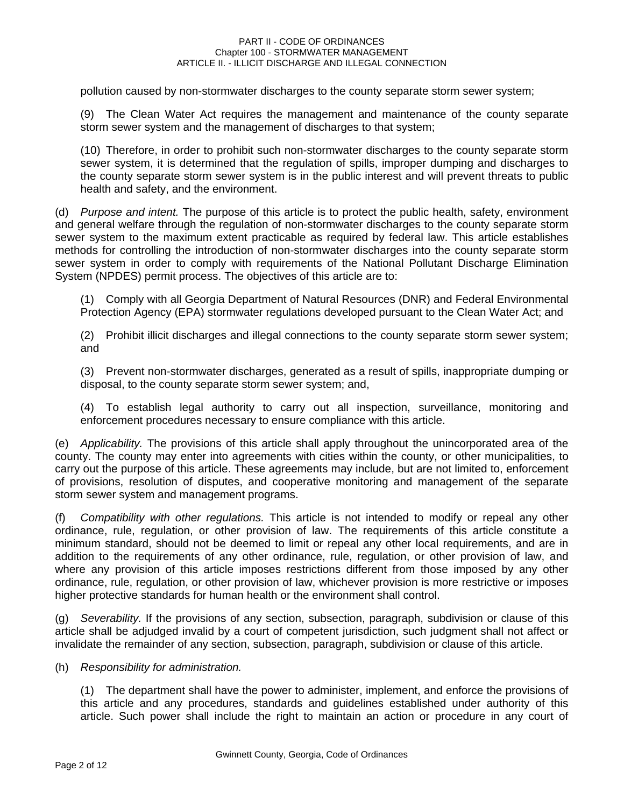pollution caused by non-stormwater discharges to the county separate storm sewer system;

(9) The Clean Water Act requires the management and maintenance of the county separate storm sewer system and the management of discharges to that system;

(10) Therefore, in order to prohibit such non-stormwater discharges to the county separate storm sewer system, it is determined that the regulation of spills, improper dumping and discharges to the county separate storm sewer system is in the public interest and will prevent threats to public health and safety, and the environment.

(d) *Purpose and intent.* The purpose of this article is to protect the public health, safety, environment and general welfare through the regulation of non-stormwater discharges to the county separate storm sewer system to the maximum extent practicable as required by federal law. This article establishes methods for controlling the introduction of non-stormwater discharges into the county separate storm sewer system in order to comply with requirements of the National Pollutant Discharge Elimination System (NPDES) permit process. The objectives of this article are to:

(1) Comply with all Georgia Department of Natural Resources (DNR) and Federal Environmental Protection Agency (EPA) stormwater regulations developed pursuant to the Clean Water Act; and

(2) Prohibit illicit discharges and illegal connections to the county separate storm sewer system; and

(3) Prevent non-stormwater discharges, generated as a result of spills, inappropriate dumping or disposal, to the county separate storm sewer system; and,

(4) To establish legal authority to carry out all inspection, surveillance, monitoring and enforcement procedures necessary to ensure compliance with this article.

(e) *Applicability.* The provisions of this article shall apply throughout the unincorporated area of the county. The county may enter into agreements with cities within the county, or other municipalities, to carry out the purpose of this article. These agreements may include, but are not limited to, enforcement of provisions, resolution of disputes, and cooperative monitoring and management of the separate storm sewer system and management programs.

(f) *Compatibility with other regulations.* This article is not intended to modify or repeal any other ordinance, rule, regulation, or other provision of law. The requirements of this article constitute a minimum standard, should not be deemed to limit or repeal any other local requirements, and are in addition to the requirements of any other ordinance, rule, regulation, or other provision of law, and where any provision of this article imposes restrictions different from those imposed by any other ordinance, rule, regulation, or other provision of law, whichever provision is more restrictive or imposes higher protective standards for human health or the environment shall control.

(g) *Severability.* If the provisions of any section, subsection, paragraph, subdivision or clause of this article shall be adjudged invalid by a court of competent jurisdiction, such judgment shall not affect or invalidate the remainder of any section, subsection, paragraph, subdivision or clause of this article.

(h) *Responsibility for administration.*

(1) The department shall have the power to administer, implement, and enforce the provisions of this article and any procedures, standards and guidelines established under authority of this article. Such power shall include the right to maintain an action or procedure in any court of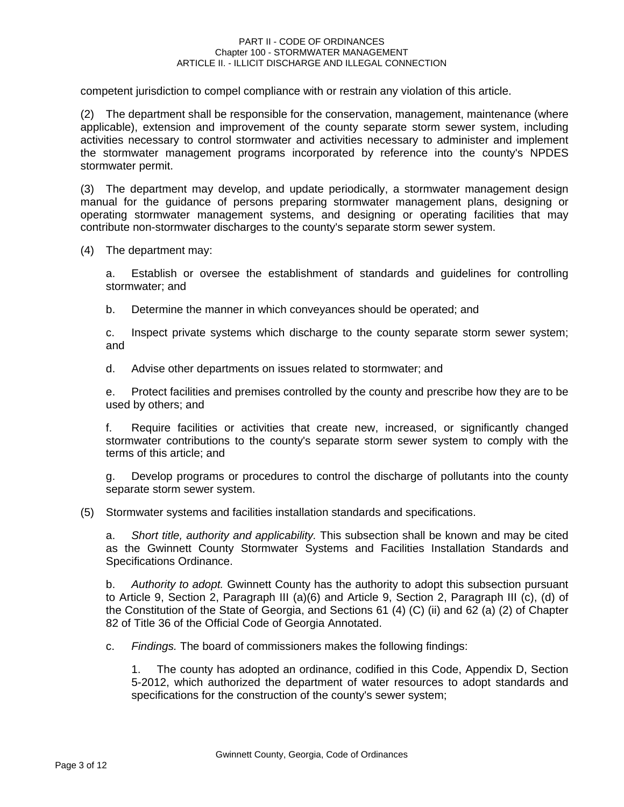competent jurisdiction to compel compliance with or restrain any violation of this article.

(2) The department shall be responsible for the conservation, management, maintenance (where applicable), extension and improvement of the county separate storm sewer system, including activities necessary to control stormwater and activities necessary to administer and implement the stormwater management programs incorporated by reference into the county's NPDES stormwater permit.

(3) The department may develop, and update periodically, a stormwater management design manual for the guidance of persons preparing stormwater management plans, designing or operating stormwater management systems, and designing or operating facilities that may contribute non-stormwater discharges to the county's separate storm sewer system.

(4) The department may:

a. Establish or oversee the establishment of standards and guidelines for controlling stormwater; and

b. Determine the manner in which conveyances should be operated; and

c. Inspect private systems which discharge to the county separate storm sewer system; and

d. Advise other departments on issues related to stormwater; and

e. Protect facilities and premises controlled by the county and prescribe how they are to be used by others; and

f. Require facilities or activities that create new, increased, or significantly changed stormwater contributions to the county's separate storm sewer system to comply with the terms of this article; and

g. Develop programs or procedures to control the discharge of pollutants into the county separate storm sewer system.

(5) Stormwater systems and facilities installation standards and specifications.

a. *Short title, authority and applicability.* This subsection shall be known and may be cited as the Gwinnett County Stormwater Systems and Facilities Installation Standards and Specifications Ordinance.

b. *Authority to adopt.* Gwinnett County has the authority to adopt this subsection pursuant to Article 9, Section 2, Paragraph III (a)(6) and Article 9, Section 2, Paragraph III (c), (d) of the Constitution of the State of Georgia, and Sections 61 (4) (C) (ii) and 62 (a) (2) of Chapter 82 of Title 36 of the Official Code of Georgia Annotated.

c. *Findings.* The board of commissioners makes the following findings:

1. The county has adopted an ordinance, codified in this Code, Appendix D, Section 5-2012, which authorized the department of water resources to adopt standards and specifications for the construction of the county's sewer system;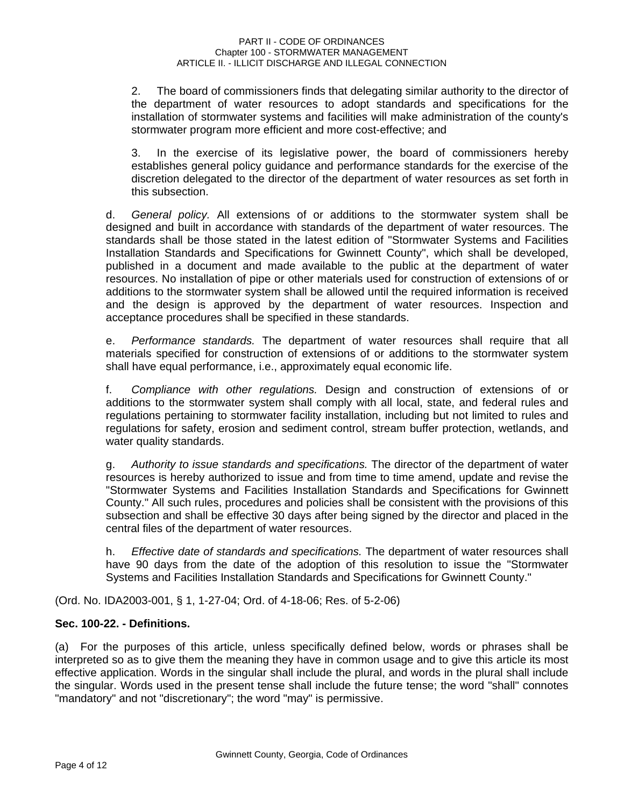2. The board of commissioners finds that delegating similar authority to the director of the department of water resources to adopt standards and specifications for the installation of stormwater systems and facilities will make administration of the county's stormwater program more efficient and more cost-effective; and

3. In the exercise of its legislative power, the board of commissioners hereby establishes general policy guidance and performance standards for the exercise of the discretion delegated to the director of the department of water resources as set forth in this subsection.

d. *General policy.* All extensions of or additions to the stormwater system shall be designed and built in accordance with standards of the department of water resources. The standards shall be those stated in the latest edition of "Stormwater Systems and Facilities Installation Standards and Specifications for Gwinnett County", which shall be developed, published in a document and made available to the public at the department of water resources. No installation of pipe or other materials used for construction of extensions of or additions to the stormwater system shall be allowed until the required information is received and the design is approved by the department of water resources. Inspection and acceptance procedures shall be specified in these standards.

e. *Performance standards.* The department of water resources shall require that all materials specified for construction of extensions of or additions to the stormwater system shall have equal performance, i.e., approximately equal economic life.

f. *Compliance with other regulations.* Design and construction of extensions of or additions to the stormwater system shall comply with all local, state, and federal rules and regulations pertaining to stormwater facility installation, including but not limited to rules and regulations for safety, erosion and sediment control, stream buffer protection, wetlands, and water quality standards.

g. *Authority to issue standards and specifications.* The director of the department of water resources is hereby authorized to issue and from time to time amend, update and revise the "Stormwater Systems and Facilities Installation Standards and Specifications for Gwinnett County." All such rules, procedures and policies shall be consistent with the provisions of this subsection and shall be effective 30 days after being signed by the director and placed in the central files of the department of water resources.

h. *Effective date of standards and specifications.* The department of water resources shall have 90 days from the date of the adoption of this resolution to issue the "Stormwater Systems and Facilities Installation Standards and Specifications for Gwinnett County."

(Ord. No. IDA2003-001, § 1, 1-27-04; Ord. of 4-18-06; Res. of 5-2-06)

# **Sec. 100-22. - Definitions.**

(a) For the purposes of this article, unless specifically defined below, words or phrases shall be interpreted so as to give them the meaning they have in common usage and to give this article its most effective application. Words in the singular shall include the plural, and words in the plural shall include the singular. Words used in the present tense shall include the future tense; the word "shall" connotes "mandatory" and not "discretionary"; the word "may" is permissive.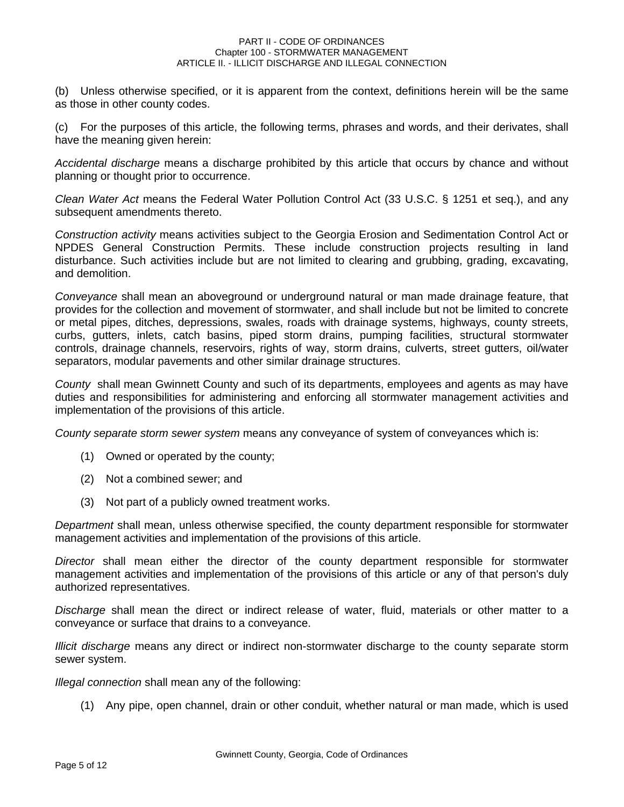(b) Unless otherwise specified, or it is apparent from the context, definitions herein will be the same as those in other county codes.

(c) For the purposes of this article, the following terms, phrases and words, and their derivates, shall have the meaning given herein:

*Accidental discharge* means a discharge prohibited by this article that occurs by chance and without planning or thought prior to occurrence.

*Clean Water Act* means the Federal Water Pollution Control Act (33 U.S.C. § 1251 et seq.), and any subsequent amendments thereto.

*Construction activity* means activities subject to the Georgia Erosion and Sedimentation Control Act or NPDES General Construction Permits. These include construction projects resulting in land disturbance. Such activities include but are not limited to clearing and grubbing, grading, excavating, and demolition.

*Conveyance* shall mean an aboveground or underground natural or man made drainage feature, that provides for the collection and movement of stormwater, and shall include but not be limited to concrete or metal pipes, ditches, depressions, swales, roads with drainage systems, highways, county streets, curbs, gutters, inlets, catch basins, piped storm drains, pumping facilities, structural stormwater controls, drainage channels, reservoirs, rights of way, storm drains, culverts, street gutters, oil/water separators, modular pavements and other similar drainage structures.

*County* shall mean Gwinnett County and such of its departments, employees and agents as may have duties and responsibilities for administering and enforcing all stormwater management activities and implementation of the provisions of this article.

*County separate storm sewer system* means any conveyance of system of conveyances which is:

- (1) Owned or operated by the county;
- (2) Not a combined sewer; and
- (3) Not part of a publicly owned treatment works.

*Department* shall mean, unless otherwise specified, the county department responsible for stormwater management activities and implementation of the provisions of this article.

*Director* shall mean either the director of the county department responsible for stormwater management activities and implementation of the provisions of this article or any of that person's duly authorized representatives.

*Discharge* shall mean the direct or indirect release of water, fluid, materials or other matter to a conveyance or surface that drains to a conveyance.

*Illicit discharge* means any direct or indirect non-stormwater discharge to the county separate storm sewer system.

*Illegal connection* shall mean any of the following:

(1) Any pipe, open channel, drain or other conduit, whether natural or man made, which is used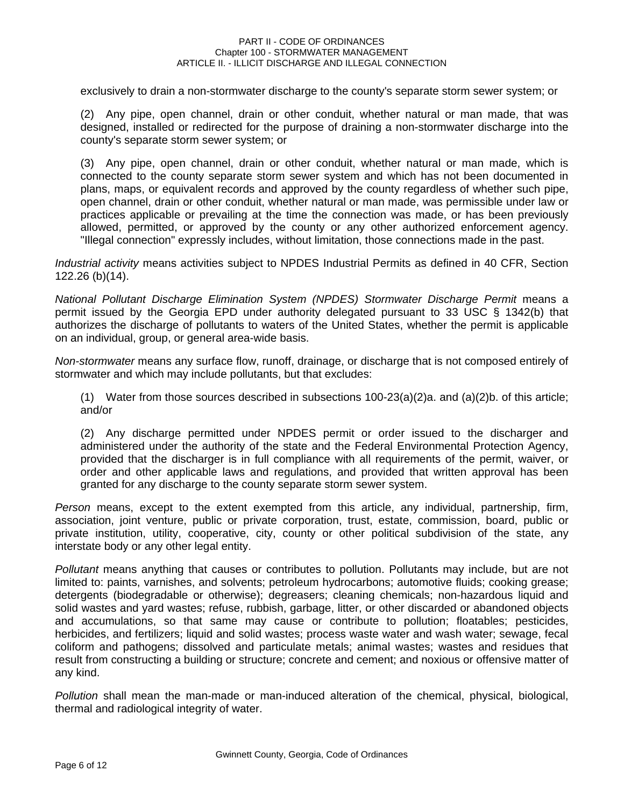exclusively to drain a non-stormwater discharge to the county's separate storm sewer system; or

(2) Any pipe, open channel, drain or other conduit, whether natural or man made, that was designed, installed or redirected for the purpose of draining a non-stormwater discharge into the county's separate storm sewer system; or

(3) Any pipe, open channel, drain or other conduit, whether natural or man made, which is connected to the county separate storm sewer system and which has not been documented in plans, maps, or equivalent records and approved by the county regardless of whether such pipe, open channel, drain or other conduit, whether natural or man made, was permissible under law or practices applicable or prevailing at the time the connection was made, or has been previously allowed, permitted, or approved by the county or any other authorized enforcement agency. "Illegal connection" expressly includes, without limitation, those connections made in the past.

*Industrial activity* means activities subject to NPDES Industrial Permits as defined in 40 CFR, Section 122.26 (b)(14).

*National Pollutant Discharge Elimination System (NPDES) Stormwater Discharge Permit* means a permit issued by the Georgia EPD under authority delegated pursuant to 33 USC § 1342(b) that authorizes the discharge of pollutants to waters of the United States, whether the permit is applicable on an individual, group, or general area-wide basis.

*Non-stormwater* means any surface flow, runoff, drainage, or discharge that is not composed entirely of stormwater and which may include pollutants, but that excludes:

(1) Water from those sources described in subsections 100-23(a)(2)a. and (a)(2)b. of this article; and/or

(2) Any discharge permitted under NPDES permit or order issued to the discharger and administered under the authority of the state and the Federal Environmental Protection Agency, provided that the discharger is in full compliance with all requirements of the permit, waiver, or order and other applicable laws and regulations, and provided that written approval has been granted for any discharge to the county separate storm sewer system.

*Person* means, except to the extent exempted from this article, any individual, partnership, firm, association, joint venture, public or private corporation, trust, estate, commission, board, public or private institution, utility, cooperative, city, county or other political subdivision of the state, any interstate body or any other legal entity.

*Pollutant* means anything that causes or contributes to pollution. Pollutants may include, but are not limited to: paints, varnishes, and solvents; petroleum hydrocarbons; automotive fluids; cooking grease; detergents (biodegradable or otherwise); degreasers; cleaning chemicals; non-hazardous liquid and solid wastes and yard wastes; refuse, rubbish, garbage, litter, or other discarded or abandoned objects and accumulations, so that same may cause or contribute to pollution; floatables; pesticides, herbicides, and fertilizers; liquid and solid wastes; process waste water and wash water; sewage, fecal coliform and pathogens; dissolved and particulate metals; animal wastes; wastes and residues that result from constructing a building or structure; concrete and cement; and noxious or offensive matter of any kind.

*Pollution* shall mean the man-made or man-induced alteration of the chemical, physical, biological, thermal and radiological integrity of water.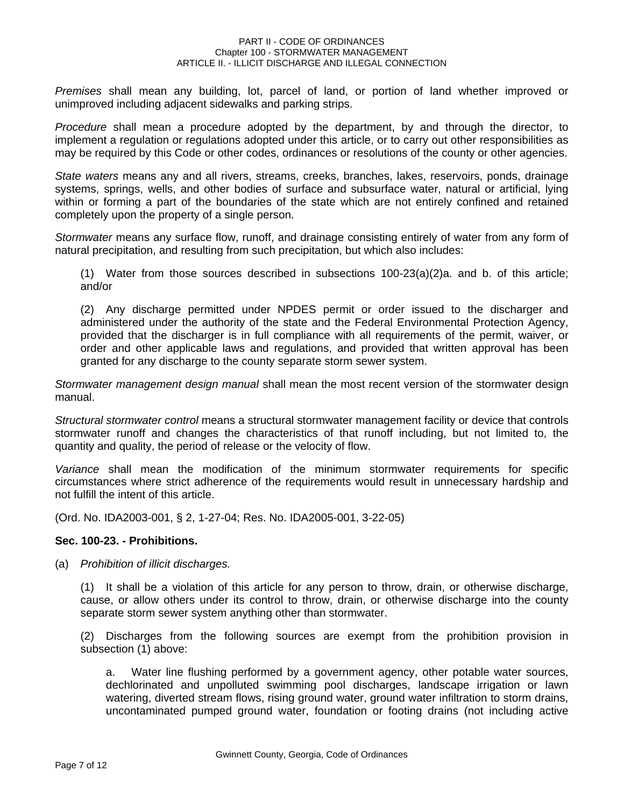*Premises* shall mean any building, lot, parcel of land, or portion of land whether improved or unimproved including adjacent sidewalks and parking strips.

*Procedure* shall mean a procedure adopted by the department, by and through the director, to implement a regulation or regulations adopted under this article, or to carry out other responsibilities as may be required by this Code or other codes, ordinances or resolutions of the county or other agencies.

*State waters* means any and all rivers, streams, creeks, branches, lakes, reservoirs, ponds, drainage systems, springs, wells, and other bodies of surface and subsurface water, natural or artificial, lying within or forming a part of the boundaries of the state which are not entirely confined and retained completely upon the property of a single person.

*Stormwater* means any surface flow, runoff, and drainage consisting entirely of water from any form of natural precipitation, and resulting from such precipitation, but which also includes:

(1) Water from those sources described in subsections 100-23(a)(2)a. and b. of this article; and/or

(2) Any discharge permitted under NPDES permit or order issued to the discharger and administered under the authority of the state and the Federal Environmental Protection Agency, provided that the discharger is in full compliance with all requirements of the permit, waiver, or order and other applicable laws and regulations, and provided that written approval has been granted for any discharge to the county separate storm sewer system.

*Stormwater management design manual* shall mean the most recent version of the stormwater design manual.

*Structural stormwater control* means a structural stormwater management facility or device that controls stormwater runoff and changes the characteristics of that runoff including, but not limited to, the quantity and quality, the period of release or the velocity of flow.

*Variance* shall mean the modification of the minimum stormwater requirements for specific circumstances where strict adherence of the requirements would result in unnecessary hardship and not fulfill the intent of this article.

(Ord. No. IDA2003-001, § 2, 1-27-04; Res. No. IDA2005-001, 3-22-05)

#### **Sec. 100-23. - Prohibitions.**

(a) *Prohibition of illicit discharges.*

(1) It shall be a violation of this article for any person to throw, drain, or otherwise discharge, cause, or allow others under its control to throw, drain, or otherwise discharge into the county separate storm sewer system anything other than stormwater.

(2) Discharges from the following sources are exempt from the prohibition provision in subsection (1) above:

a. Water line flushing performed by a government agency, other potable water sources, dechlorinated and unpolluted swimming pool discharges, landscape irrigation or lawn watering, diverted stream flows, rising ground water, ground water infiltration to storm drains, uncontaminated pumped ground water, foundation or footing drains (not including active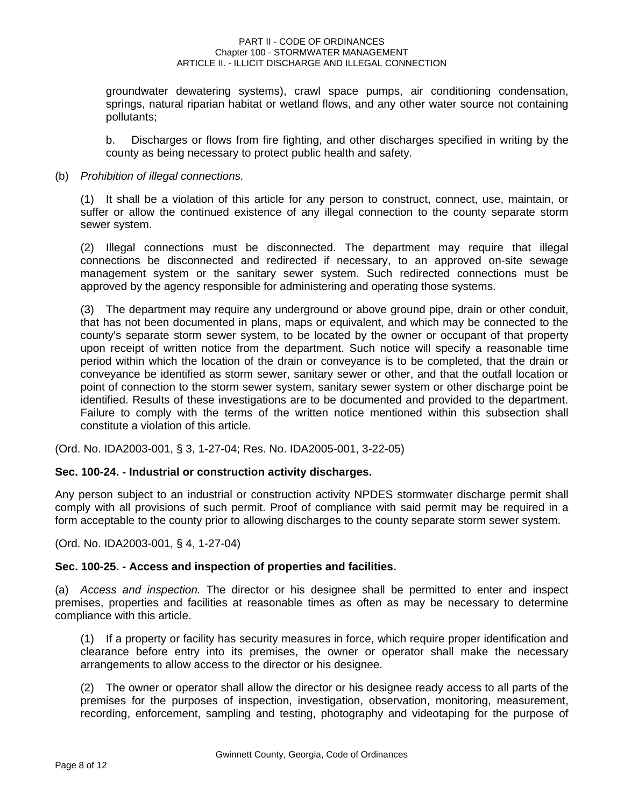groundwater dewatering systems), crawl space pumps, air conditioning condensation, springs, natural riparian habitat or wetland flows, and any other water source not containing pollutants;

b. Discharges or flows from fire fighting, and other discharges specified in writing by the county as being necessary to protect public health and safety.

### (b) *Prohibition of illegal connections.*

(1) It shall be a violation of this article for any person to construct, connect, use, maintain, or suffer or allow the continued existence of any illegal connection to the county separate storm sewer system.

(2) Illegal connections must be disconnected. The department may require that illegal connections be disconnected and redirected if necessary, to an approved on-site sewage management system or the sanitary sewer system. Such redirected connections must be approved by the agency responsible for administering and operating those systems.

(3) The department may require any underground or above ground pipe, drain or other conduit, that has not been documented in plans, maps or equivalent, and which may be connected to the county's separate storm sewer system, to be located by the owner or occupant of that property upon receipt of written notice from the department. Such notice will specify a reasonable time period within which the location of the drain or conveyance is to be completed, that the drain or conveyance be identified as storm sewer, sanitary sewer or other, and that the outfall location or point of connection to the storm sewer system, sanitary sewer system or other discharge point be identified. Results of these investigations are to be documented and provided to the department. Failure to comply with the terms of the written notice mentioned within this subsection shall constitute a violation of this article.

(Ord. No. IDA2003-001, § 3, 1-27-04; Res. No. IDA2005-001, 3-22-05)

### **Sec. 100-24. - Industrial or construction activity discharges.**

Any person subject to an industrial or construction activity NPDES stormwater discharge permit shall comply with all provisions of such permit. Proof of compliance with said permit may be required in a form acceptable to the county prior to allowing discharges to the county separate storm sewer system.

(Ord. No. IDA2003-001, § 4, 1-27-04)

### **Sec. 100-25. - Access and inspection of properties and facilities.**

(a) *Access and inspection.* The director or his designee shall be permitted to enter and inspect premises, properties and facilities at reasonable times as often as may be necessary to determine compliance with this article.

(1) If a property or facility has security measures in force, which require proper identification and clearance before entry into its premises, the owner or operator shall make the necessary arrangements to allow access to the director or his designee.

(2) The owner or operator shall allow the director or his designee ready access to all parts of the premises for the purposes of inspection, investigation, observation, monitoring, measurement, recording, enforcement, sampling and testing, photography and videotaping for the purpose of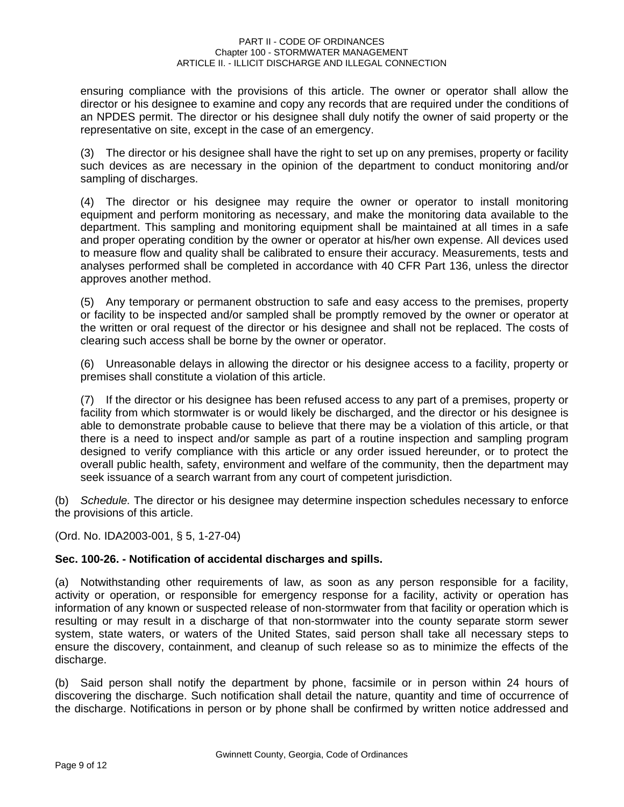ensuring compliance with the provisions of this article. The owner or operator shall allow the director or his designee to examine and copy any records that are required under the conditions of an NPDES permit. The director or his designee shall duly notify the owner of said property or the representative on site, except in the case of an emergency.

(3) The director or his designee shall have the right to set up on any premises, property or facility such devices as are necessary in the opinion of the department to conduct monitoring and/or sampling of discharges.

(4) The director or his designee may require the owner or operator to install monitoring equipment and perform monitoring as necessary, and make the monitoring data available to the department. This sampling and monitoring equipment shall be maintained at all times in a safe and proper operating condition by the owner or operator at his/her own expense. All devices used to measure flow and quality shall be calibrated to ensure their accuracy. Measurements, tests and analyses performed shall be completed in accordance with 40 CFR Part 136, unless the director approves another method.

(5) Any temporary or permanent obstruction to safe and easy access to the premises, property or facility to be inspected and/or sampled shall be promptly removed by the owner or operator at the written or oral request of the director or his designee and shall not be replaced. The costs of clearing such access shall be borne by the owner or operator.

(6) Unreasonable delays in allowing the director or his designee access to a facility, property or premises shall constitute a violation of this article.

(7) If the director or his designee has been refused access to any part of a premises, property or facility from which stormwater is or would likely be discharged, and the director or his designee is able to demonstrate probable cause to believe that there may be a violation of this article, or that there is a need to inspect and/or sample as part of a routine inspection and sampling program designed to verify compliance with this article or any order issued hereunder, or to protect the overall public health, safety, environment and welfare of the community, then the department may seek issuance of a search warrant from any court of competent jurisdiction.

(b) *Schedule.* The director or his designee may determine inspection schedules necessary to enforce the provisions of this article.

(Ord. No. IDA2003-001, § 5, 1-27-04)

# **Sec. 100-26. - Notification of accidental discharges and spills.**

(a) Notwithstanding other requirements of law, as soon as any person responsible for a facility, activity or operation, or responsible for emergency response for a facility, activity or operation has information of any known or suspected release of non-stormwater from that facility or operation which is resulting or may result in a discharge of that non-stormwater into the county separate storm sewer system, state waters, or waters of the United States, said person shall take all necessary steps to ensure the discovery, containment, and cleanup of such release so as to minimize the effects of the discharge.

(b) Said person shall notify the department by phone, facsimile or in person within 24 hours of discovering the discharge. Such notification shall detail the nature, quantity and time of occurrence of the discharge. Notifications in person or by phone shall be confirmed by written notice addressed and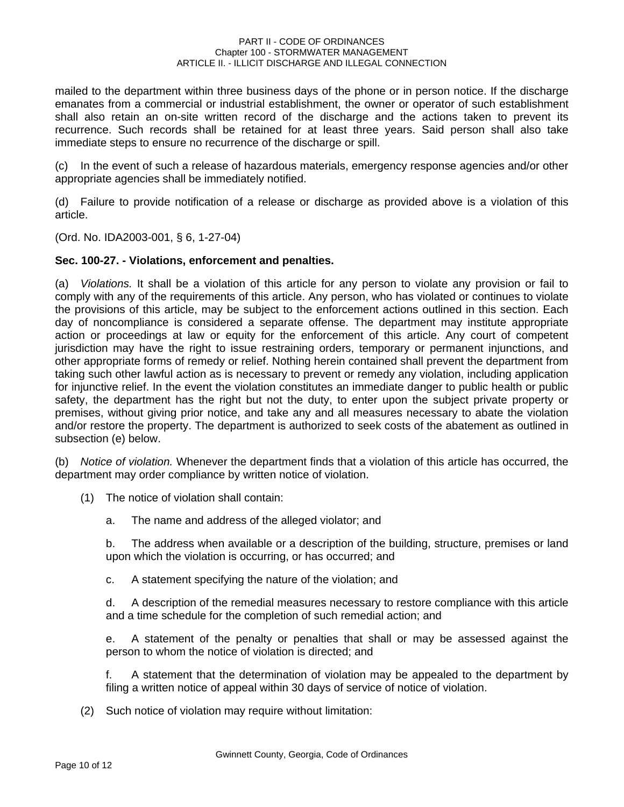mailed to the department within three business days of the phone or in person notice. If the discharge emanates from a commercial or industrial establishment, the owner or operator of such establishment shall also retain an on-site written record of the discharge and the actions taken to prevent its recurrence. Such records shall be retained for at least three years. Said person shall also take immediate steps to ensure no recurrence of the discharge or spill.

(c) In the event of such a release of hazardous materials, emergency response agencies and/or other appropriate agencies shall be immediately notified.

(d) Failure to provide notification of a release or discharge as provided above is a violation of this article.

(Ord. No. IDA2003-001, § 6, 1-27-04)

### **Sec. 100-27. - Violations, enforcement and penalties.**

(a) *Violations.* It shall be a violation of this article for any person to violate any provision or fail to comply with any of the requirements of this article. Any person, who has violated or continues to violate the provisions of this article, may be subject to the enforcement actions outlined in this section. Each day of noncompliance is considered a separate offense. The department may institute appropriate action or proceedings at law or equity for the enforcement of this article. Any court of competent jurisdiction may have the right to issue restraining orders, temporary or permanent injunctions, and other appropriate forms of remedy or relief. Nothing herein contained shall prevent the department from taking such other lawful action as is necessary to prevent or remedy any violation, including application for injunctive relief. In the event the violation constitutes an immediate danger to public health or public safety, the department has the right but not the duty, to enter upon the subject private property or premises, without giving prior notice, and take any and all measures necessary to abate the violation and/or restore the property. The department is authorized to seek costs of the abatement as outlined in subsection (e) below.

(b) *Notice of violation.* Whenever the department finds that a violation of this article has occurred, the department may order compliance by written notice of violation.

- (1) The notice of violation shall contain:
	- a. The name and address of the alleged violator; and

b. The address when available or a description of the building, structure, premises or land upon which the violation is occurring, or has occurred; and

c. A statement specifying the nature of the violation; and

d. A description of the remedial measures necessary to restore compliance with this article and a time schedule for the completion of such remedial action; and

e. A statement of the penalty or penalties that shall or may be assessed against the person to whom the notice of violation is directed; and

f. A statement that the determination of violation may be appealed to the department by filing a written notice of appeal within 30 days of service of notice of violation.

(2) Such notice of violation may require without limitation: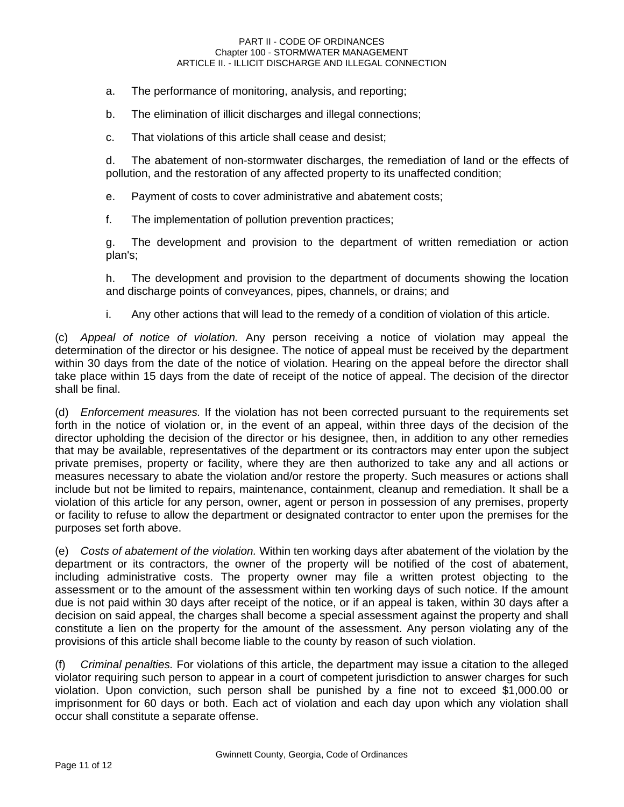- a. The performance of monitoring, analysis, and reporting;
- b. The elimination of illicit discharges and illegal connections;
- c. That violations of this article shall cease and desist;

d. The abatement of non-stormwater discharges, the remediation of land or the effects of pollution, and the restoration of any affected property to its unaffected condition;

e. Payment of costs to cover administrative and abatement costs;

f. The implementation of pollution prevention practices;

g. The development and provision to the department of written remediation or action plan's;

h. The development and provision to the department of documents showing the location and discharge points of conveyances, pipes, channels, or drains; and

i. Any other actions that will lead to the remedy of a condition of violation of this article.

(c) *Appeal of notice of violation.* Any person receiving a notice of violation may appeal the determination of the director or his designee. The notice of appeal must be received by the department within 30 days from the date of the notice of violation. Hearing on the appeal before the director shall take place within 15 days from the date of receipt of the notice of appeal. The decision of the director shall be final.

(d) *Enforcement measures.* If the violation has not been corrected pursuant to the requirements set forth in the notice of violation or, in the event of an appeal, within three days of the decision of the director upholding the decision of the director or his designee, then, in addition to any other remedies that may be available, representatives of the department or its contractors may enter upon the subject private premises, property or facility, where they are then authorized to take any and all actions or measures necessary to abate the violation and/or restore the property. Such measures or actions shall include but not be limited to repairs, maintenance, containment, cleanup and remediation. It shall be a violation of this article for any person, owner, agent or person in possession of any premises, property or facility to refuse to allow the department or designated contractor to enter upon the premises for the purposes set forth above.

(e) *Costs of abatement of the violation.* Within ten working days after abatement of the violation by the department or its contractors, the owner of the property will be notified of the cost of abatement, including administrative costs. The property owner may file a written protest objecting to the assessment or to the amount of the assessment within ten working days of such notice. If the amount due is not paid within 30 days after receipt of the notice, or if an appeal is taken, within 30 days after a decision on said appeal, the charges shall become a special assessment against the property and shall constitute a lien on the property for the amount of the assessment. Any person violating any of the provisions of this article shall become liable to the county by reason of such violation.

(f) *Criminal penalties.* For violations of this article, the department may issue a citation to the alleged violator requiring such person to appear in a court of competent jurisdiction to answer charges for such violation. Upon conviction, such person shall be punished by a fine not to exceed \$1,000.00 or imprisonment for 60 days or both. Each act of violation and each day upon which any violation shall occur shall constitute a separate offense.